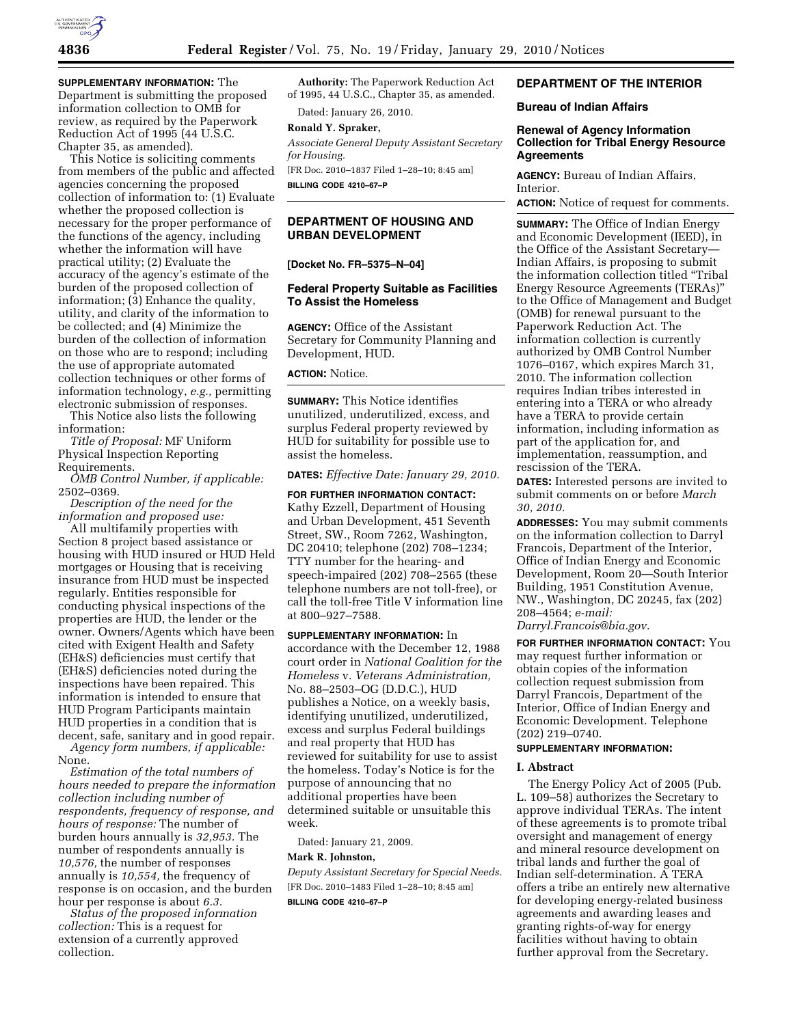

**SUPPLEMENTARY INFORMATION:** The Department is submitting the proposed information collection to OMB for review, as required by the Paperwork Reduction Act of 1995 (44 U.S.C. Chapter 35, as amended).

This Notice is soliciting comments from members of the public and affected agencies concerning the proposed collection of information to: (1) Evaluate whether the proposed collection is necessary for the proper performance of the functions of the agency, including whether the information will have practical utility; (2) Evaluate the accuracy of the agency's estimate of the burden of the proposed collection of information; (3) Enhance the quality, utility, and clarity of the information to be collected; and (4) Minimize the burden of the collection of information on those who are to respond; including the use of appropriate automated collection techniques or other forms of information technology, *e.g.,* permitting electronic submission of responses.

This Notice also lists the following information:

*Title of Proposal:* MF Uniform Physical Inspection Reporting Requirements.

*OMB Control Number, if applicable:*  2502–0369.

*Description of the need for the information and proposed use:* 

All multifamily properties with Section 8 project based assistance or housing with HUD insured or HUD Held mortgages or Housing that is receiving insurance from HUD must be inspected regularly. Entities responsible for conducting physical inspections of the properties are HUD, the lender or the owner. Owners/Agents which have been cited with Exigent Health and Safety (EH&S) deficiencies must certify that (EH&S) deficiencies noted during the inspections have been repaired. This information is intended to ensure that HUD Program Participants maintain HUD properties in a condition that is decent, safe, sanitary and in good repair. *Agency form numbers, if applicable:* 

None.

*Estimation of the total numbers of hours needed to prepare the information collection including number of respondents, frequency of response, and hours of response:* The number of burden hours annually is *32,953.* The number of respondents annually is *10,576,* the number of responses annually is *10,554,* the frequency of response is on occasion, and the burden hour per response is about *6.3.* 

*Status of the proposed information collection:* This is a request for extension of a currently approved collection.

**Authority:** The Paperwork Reduction Act of 1995, 44 U.S.C., Chapter 35, as amended.

Dated: January 26, 2010.

# **Ronald Y. Spraker,**

*Associate General Deputy Assistant Secretary for Housing.* 

[FR Doc. 2010–1837 Filed 1–28–10; 8:45 am] **BILLING CODE 4210–67–P** 

# **DEPARTMENT OF HOUSING AND URBAN DEVELOPMENT**

**[Docket No. FR–5375–N–04]** 

# **Federal Property Suitable as Facilities To Assist the Homeless**

**AGENCY:** Office of the Assistant Secretary for Community Planning and Development, HUD.

**ACTION:** Notice.

**SUMMARY:** This Notice identifies unutilized, underutilized, excess, and surplus Federal property reviewed by HUD for suitability for possible use to assist the homeless.

**DATES:** *Effective Date: January 29, 2010.* 

**FOR FURTHER INFORMATION CONTACT:**  Kathy Ezzell, Department of Housing and Urban Development, 451 Seventh Street, SW., Room 7262, Washington, DC 20410; telephone (202) 708–1234; TTY number for the hearing- and speech-impaired (202) 708–2565 (these telephone numbers are not toll-free), or call the toll-free Title V information line at 800–927–7588.

**SUPPLEMENTARY INFORMATION:** In accordance with the December 12, 1988 court order in *National Coalition for the Homeless* v. *Veterans Administration,*  No. 88–2503–OG (D.D.C.), HUD publishes a Notice, on a weekly basis, identifying unutilized, underutilized, excess and surplus Federal buildings and real property that HUD has reviewed for suitability for use to assist the homeless. Today's Notice is for the purpose of announcing that no additional properties have been determined suitable or unsuitable this week.

Dated: January 21, 2009.

#### **Mark R. Johnston,**

*Deputy Assistant Secretary for Special Needs.*  [FR Doc. 2010–1483 Filed 1–28–10; 8:45 am] **BILLING CODE 4210–67–P** 

## **DEPARTMENT OF THE INTERIOR**

## **Bureau of Indian Affairs**

# **Renewal of Agency Information Collection for Tribal Energy Resource Agreements**

**AGENCY:** Bureau of Indian Affairs, Interior.

**ACTION:** Notice of request for comments.

**SUMMARY:** The Office of Indian Energy and Economic Development (IEED), in the Office of the Assistant Secretary— Indian Affairs, is proposing to submit the information collection titled ''Tribal Energy Resource Agreements (TERAs)'' to the Office of Management and Budget (OMB) for renewal pursuant to the Paperwork Reduction Act. The information collection is currently authorized by OMB Control Number 1076–0167, which expires March 31, 2010. The information collection requires Indian tribes interested in entering into a TERA or who already have a TERA to provide certain information, including information as part of the application for, and implementation, reassumption, and rescission of the TERA.

**DATES:** Interested persons are invited to submit comments on or before *March 30, 2010.* 

**ADDRESSES:** You may submit comments on the information collection to Darryl Francois, Department of the Interior, Office of Indian Energy and Economic Development, Room 20—South Interior Building, 1951 Constitution Avenue, NW., Washington, DC 20245, fax (202) 208–4564; *e-mail: Darryl.Francois@bia.gov.* 

**FOR FURTHER INFORMATION CONTACT:** You may request further information or obtain copies of the information collection request submission from Darryl Francois, Department of the Interior, Office of Indian Energy and Economic Development. Telephone (202) 219–0740.

## **SUPPLEMENTARY INFORMATION:**

## **I. Abstract**

The Energy Policy Act of 2005 (Pub. L. 109–58) authorizes the Secretary to approve individual TERAs. The intent of these agreements is to promote tribal oversight and management of energy and mineral resource development on tribal lands and further the goal of Indian self-determination. A TERA offers a tribe an entirely new alternative for developing energy-related business agreements and awarding leases and granting rights-of-way for energy facilities without having to obtain further approval from the Secretary.